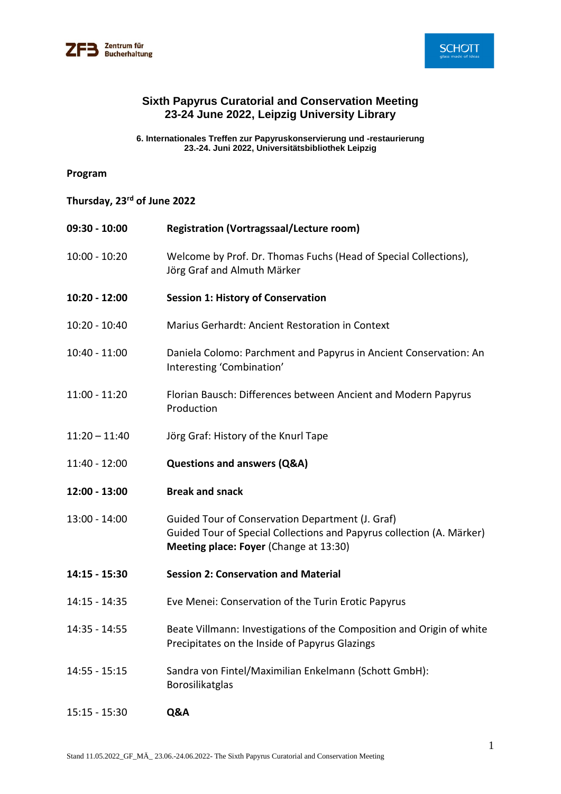



### **Sixth Papyrus Curatorial and Conservation Meeting 23-24 June 2022, Leipzig University Library**

**6. Internationales Treffen zur Papyruskonservierung und -restaurierung 23.-24. Juni 2022, Universitätsbibliothek Leipzig**

### **Program**

| Thursday, 23rd of June 2022 |  |  |  |  |
|-----------------------------|--|--|--|--|
|-----------------------------|--|--|--|--|

| 09:30 - 10:00   | <b>Registration (Vortragssaal/Lecture room)</b>                                                                                                                     |
|-----------------|---------------------------------------------------------------------------------------------------------------------------------------------------------------------|
| $10:00 - 10:20$ | Welcome by Prof. Dr. Thomas Fuchs (Head of Special Collections),<br>Jörg Graf and Almuth Märker                                                                     |
| 10:20 - 12:00   | <b>Session 1: History of Conservation</b>                                                                                                                           |
| 10:20 - 10:40   | Marius Gerhardt: Ancient Restoration in Context                                                                                                                     |
| $10:40 - 11:00$ | Daniela Colomo: Parchment and Papyrus in Ancient Conservation: An<br>Interesting 'Combination'                                                                      |
| $11:00 - 11:20$ | Florian Bausch: Differences between Ancient and Modern Papyrus<br>Production                                                                                        |
| $11:20 - 11:40$ | Jörg Graf: History of the Knurl Tape                                                                                                                                |
| 11:40 - 12:00   | <b>Questions and answers (Q&amp;A)</b>                                                                                                                              |
| 12:00 - 13:00   | <b>Break and snack</b>                                                                                                                                              |
| 13:00 - 14:00   | Guided Tour of Conservation Department (J. Graf)<br>Guided Tour of Special Collections and Papyrus collection (A. Märker)<br>Meeting place: Foyer (Change at 13:30) |
| 14:15 - 15:30   | <b>Session 2: Conservation and Material</b>                                                                                                                         |
| $14:15 - 14:35$ | Eve Menei: Conservation of the Turin Erotic Papyrus                                                                                                                 |
| 14:35 - 14:55   | Beate Villmann: Investigations of the Composition and Origin of white<br>Precipitates on the Inside of Papyrus Glazings                                             |
| $14:55 - 15:15$ | Sandra von Fintel/Maximilian Enkelmann (Schott GmbH):<br>Borosilikatglas                                                                                            |
| $15:15 - 15:30$ | Q&A                                                                                                                                                                 |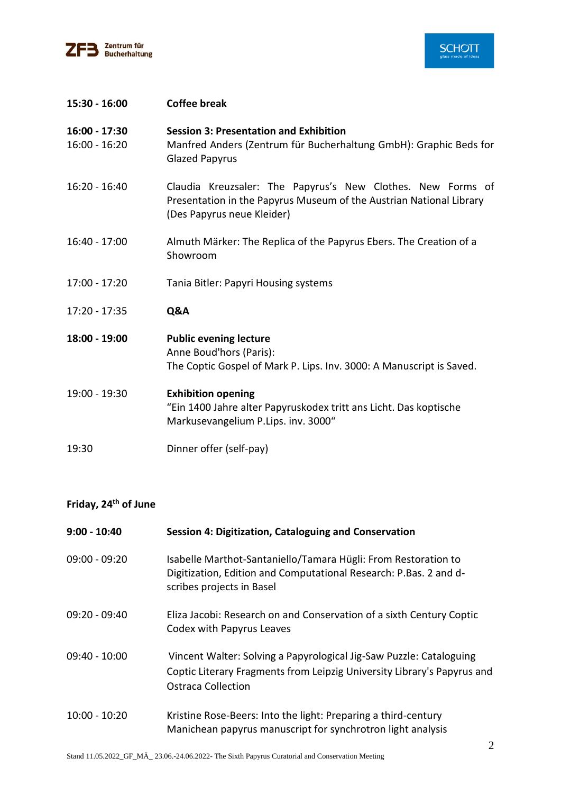



| 15:30 - 16:00                    | <b>Coffee break</b>                                                                                                                                              |
|----------------------------------|------------------------------------------------------------------------------------------------------------------------------------------------------------------|
| 16:00 - 17:30<br>$16:00 - 16:20$ | <b>Session 3: Presentation and Exhibition</b><br>Manfred Anders (Zentrum für Bucherhaltung GmbH): Graphic Beds for<br><b>Glazed Papyrus</b>                      |
| $16:20 - 16:40$                  | Claudia Kreuzsaler: The Papyrus's New Clothes. New Forms of<br>Presentation in the Papyrus Museum of the Austrian National Library<br>(Des Papyrus neue Kleider) |
| 16:40 - 17:00                    | Almuth Märker: The Replica of the Papyrus Ebers. The Creation of a<br>Showroom                                                                                   |
| 17:00 - 17:20                    | Tania Bitler: Papyri Housing systems                                                                                                                             |
| 17:20 - 17:35                    | Q&A                                                                                                                                                              |
| 18:00 - 19:00                    | <b>Public evening lecture</b><br>Anne Boud'hors (Paris):<br>The Coptic Gospel of Mark P. Lips. Inv. 3000: A Manuscript is Saved.                                 |
| 19:00 - 19:30                    | <b>Exhibition opening</b><br>"Ein 1400 Jahre alter Papyruskodex tritt ans Licht. Das koptische<br>Markusevangelium P.Lips. inv. 3000"                            |
| 19:30                            | Dinner offer (self-pay)                                                                                                                                          |

# **Friday, 24th of June**

| $9:00 - 10:40$  | Session 4: Digitization, Cataloguing and Conservation                                                                                                                       |
|-----------------|-----------------------------------------------------------------------------------------------------------------------------------------------------------------------------|
| $09:00 - 09:20$ | Isabelle Marthot-Santaniello/Tamara Hügli: From Restoration to<br>Digitization, Edition and Computational Research: P.Bas. 2 and d-<br>scribes projects in Basel            |
| $09:20 - 09:40$ | Eliza Jacobi: Research on and Conservation of a sixth Century Coptic<br>Codex with Papyrus Leaves                                                                           |
| $09:40 - 10:00$ | Vincent Walter: Solving a Papyrological Jig-Saw Puzzle: Cataloguing<br>Coptic Literary Fragments from Leipzig University Library's Papyrus and<br><b>Ostraca Collection</b> |
| $10:00 - 10:20$ | Kristine Rose-Beers: Into the light: Preparing a third-century<br>Manichean papyrus manuscript for synchrotron light analysis                                               |